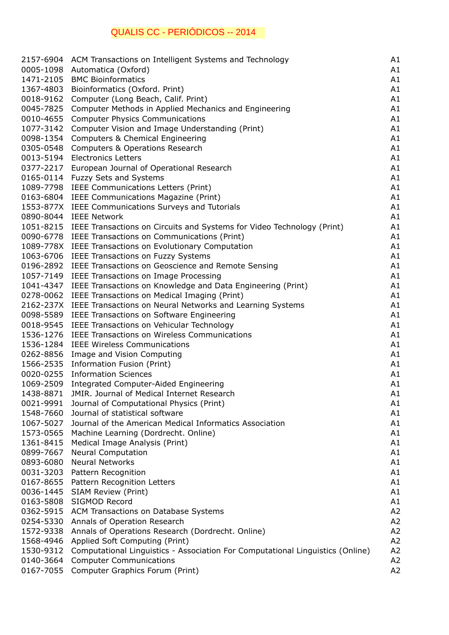## QUALIS CC - PERIÓDICOS -- 2014

|           | 2157-6904 ACM Transactions on Intelligent Systems and Technology                  | A1 |
|-----------|-----------------------------------------------------------------------------------|----|
| 0005-1098 | Automatica (Oxford)                                                               | A1 |
| 1471-2105 | <b>BMC Bioinformatics</b>                                                         | A1 |
| 1367-4803 | Bioinformatics (Oxford. Print)                                                    | A1 |
| 0018-9162 | Computer (Long Beach, Calif. Print)                                               | A1 |
| 0045-7825 | Computer Methods in Applied Mechanics and Engineering                             | A1 |
| 0010-4655 | <b>Computer Physics Communications</b>                                            | A1 |
| 1077-3142 | Computer Vision and Image Understanding (Print)                                   | A1 |
| 0098-1354 | Computers & Chemical Engineering                                                  | A1 |
| 0305-0548 |                                                                                   | A1 |
|           | Computers & Operations Research<br><b>Electronics Letters</b>                     |    |
| 0013-5194 |                                                                                   | A1 |
|           | 0377-2217 European Journal of Operational Research                                | A1 |
|           | 0165-0114 Fuzzy Sets and Systems                                                  | A1 |
| 1089-7798 | IEEE Communications Letters (Print)                                               | A1 |
|           | 0163-6804 IEEE Communications Magazine (Print)                                    | A1 |
|           | 1553-877X IEEE Communications Surveys and Tutorials                               | A1 |
|           | 0890-8044 IEEE Network                                                            | A1 |
|           | 1051-8215 IEEE Transactions on Circuits and Systems for Video Technology (Print)  | A1 |
|           | 0090-6778 IEEE Transactions on Communications (Print)                             | A1 |
|           | 1089-778X IEEE Transactions on Evolutionary Computation                           | A1 |
|           | 1063-6706 IEEE Transactions on Fuzzy Systems                                      | A1 |
|           | 0196-2892 IEEE Transactions on Geoscience and Remote Sensing                      | A1 |
| 1057-7149 | IEEE Transactions on Image Processing                                             | A1 |
| 1041-4347 | IEEE Transactions on Knowledge and Data Engineering (Print)                       | A1 |
| 0278-0062 | IEEE Transactions on Medical Imaging (Print)                                      | A1 |
|           | 2162-237X IEEE Transactions on Neural Networks and Learning Systems               | A1 |
|           | 0098-5589 IEEE Transactions on Software Engineering                               | A1 |
| 0018-9545 | IEEE Transactions on Vehicular Technology                                         | A1 |
| 1536-1276 | <b>IEEE Transactions on Wireless Communications</b>                               | A1 |
| 1536-1284 | <b>IEEE Wireless Communications</b>                                               | A1 |
| 0262-8856 | Image and Vision Computing                                                        | A1 |
| 1566-2535 | Information Fusion (Print)                                                        | A1 |
| 0020-0255 | <b>Information Sciences</b>                                                       | A1 |
| 1069-2509 | Integrated Computer-Aided Engineering                                             | A1 |
| 1438-8871 | JMIR. Journal of Medical Internet Research                                        | A1 |
| 0021-9991 | Journal of Computational Physics (Print)                                          | A1 |
| 1548-7660 | Journal of statistical software                                                   | A1 |
| 1067-5027 | Journal of the American Medical Informatics Association                           | A1 |
| 1573-0565 | Machine Learning (Dordrecht. Online)                                              | A1 |
| 1361-8415 | Medical Image Analysis (Print)                                                    | A1 |
| 0899-7667 | <b>Neural Computation</b>                                                         | A1 |
| 0893-6080 | <b>Neural Networks</b>                                                            | A1 |
| 0031-3203 | Pattern Recognition                                                               | A1 |
| 0167-8655 | Pattern Recognition Letters                                                       | A1 |
| 0036-1445 | <b>SIAM Review (Print)</b>                                                        | A1 |
| 0163-5808 | SIGMOD Record                                                                     | A1 |
| 0362-5915 | ACM Transactions on Database Systems                                              | A2 |
| 0254-5330 |                                                                                   | A2 |
| 1572-9338 | Annals of Operation Research<br>Annals of Operations Research (Dordrecht. Online) | A2 |
|           |                                                                                   | A2 |
| 1568-4946 | Applied Soft Computing (Print)                                                    |    |
| 1530-9312 | Computational Linguistics - Association For Computational Linguistics (Online)    | A2 |
| 0140-3664 | <b>Computer Communications</b>                                                    | A2 |
| 0167-7055 | Computer Graphics Forum (Print)                                                   | A2 |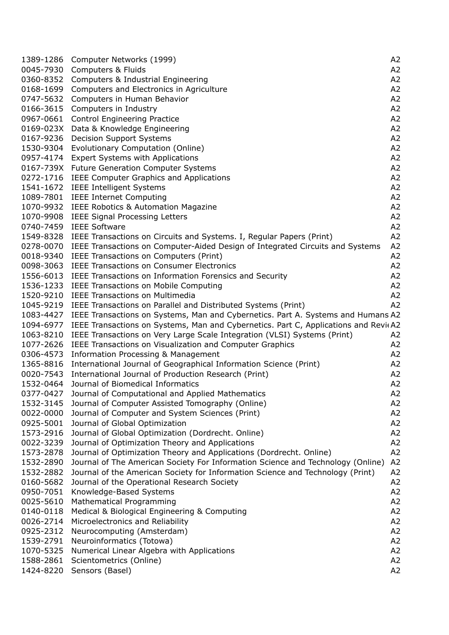| 1389-1286 | Computer Networks (1999)                                                            | A <sub>2</sub> |
|-----------|-------------------------------------------------------------------------------------|----------------|
| 0045-7930 | Computers & Fluids                                                                  | A2             |
| 0360-8352 | Computers & Industrial Engineering                                                  | A2             |
| 0168-1699 | Computers and Electronics in Agriculture                                            | A <sub>2</sub> |
| 0747-5632 | Computers in Human Behavior                                                         | A <sub>2</sub> |
| 0166-3615 | Computers in Industry                                                               | A <sub>2</sub> |
| 0967-0661 | <b>Control Engineering Practice</b>                                                 | A <sub>2</sub> |
| 0169-023X | Data & Knowledge Engineering                                                        | A2             |
| 0167-9236 | <b>Decision Support Systems</b>                                                     | A2             |
| 1530-9304 | Evolutionary Computation (Online)                                                   | A <sub>2</sub> |
| 0957-4174 |                                                                                     | A <sub>2</sub> |
|           | <b>Expert Systems with Applications</b>                                             |                |
| 0167-739X | Future Generation Computer Systems                                                  | A <sub>2</sub> |
| 0272-1716 | IEEE Computer Graphics and Applications                                             | A <sub>2</sub> |
| 1541-1672 | <b>IEEE Intelligent Systems</b>                                                     | A2             |
| 1089-7801 | <b>IEEE Internet Computing</b>                                                      | A2             |
| 1070-9932 | IEEE Robotics & Automation Magazine                                                 | A <sub>2</sub> |
| 1070-9908 | <b>IEEE Signal Processing Letters</b>                                               | A2             |
| 0740-7459 | <b>IEEE Software</b>                                                                | A <sub>2</sub> |
| 1549-8328 | IEEE Transactions on Circuits and Systems. I, Regular Papers (Print)                | A <sub>2</sub> |
| 0278-0070 | IEEE Transactions on Computer-Aided Design of Integrated Circuits and Systems       | A2             |
| 0018-9340 | IEEE Transactions on Computers (Print)                                              | A2             |
| 0098-3063 | <b>IEEE Transactions on Consumer Electronics</b>                                    | A2             |
| 1556-6013 | IEEE Transactions on Information Forensics and Security                             | A2             |
| 1536-1233 | IEEE Transactions on Mobile Computing                                               | A <sub>2</sub> |
| 1520-9210 | <b>IEEE Transactions on Multimedia</b>                                              | A2             |
| 1045-9219 | IEEE Transactions on Parallel and Distributed Systems (Print)                       | A2             |
| 1083-4427 | IEEE Transactions on Systems, Man and Cybernetics. Part A. Systems and Humans A2    |                |
| 1094-6977 | IEEE Transactions on Systems, Man and Cybernetics. Part C, Applications and Revi(A2 |                |
| 1063-8210 | IEEE Transactions on Very Large Scale Integration (VLSI) Systems (Print)            | A2             |
| 1077-2626 | IEEE Transactions on Visualization and Computer Graphics                            | A <sub>2</sub> |
| 0306-4573 | Information Processing & Management                                                 | A <sub>2</sub> |
| 1365-8816 | International Journal of Geographical Information Science (Print)                   | A2             |
| 0020-7543 | International Journal of Production Research (Print)                                | A2             |
| 1532-0464 | Journal of Biomedical Informatics                                                   | A2             |
|           | 0377-0427 Journal of Computational and Applied Mathematics                          | A <sub>2</sub> |
| 1532-3145 | Journal of Computer Assisted Tomography (Online)                                    | A2             |
| 0022-0000 | Journal of Computer and System Sciences (Print)                                     | A2             |
| 0925-5001 | Journal of Global Optimization                                                      | A2             |
| 1573-2916 | Journal of Global Optimization (Dordrecht. Online)                                  | A2             |
| 0022-3239 | Journal of Optimization Theory and Applications                                     | A <sub>2</sub> |
| 1573-2878 | Journal of Optimization Theory and Applications (Dordrecht. Online)                 | A <sub>2</sub> |
| 1532-2890 | Journal of The American Society For Information Science and Technology (Online)     | A <sub>2</sub> |
| 1532-2882 | Journal of the American Society for Information Science and Technology (Print)      | A2             |
| 0160-5682 | Journal of the Operational Research Society                                         | A2             |
| 0950-7051 | Knowledge-Based Systems                                                             | A <sub>2</sub> |
|           |                                                                                     |                |
| 0025-5610 | Mathematical Programming                                                            | A <sub>2</sub> |
| 0140-0118 | Medical & Biological Engineering & Computing                                        | A <sub>2</sub> |
| 0026-2714 | Microelectronics and Reliability                                                    | A2             |
| 0925-2312 | Neurocomputing (Amsterdam)                                                          | A2             |
| 1539-2791 | Neuroinformatics (Totowa)                                                           | A2             |
| 1070-5325 | Numerical Linear Algebra with Applications                                          | A <sub>2</sub> |
| 1588-2861 | Scientometrics (Online)                                                             | A2             |
| 1424-8220 | Sensors (Basel)                                                                     | A2             |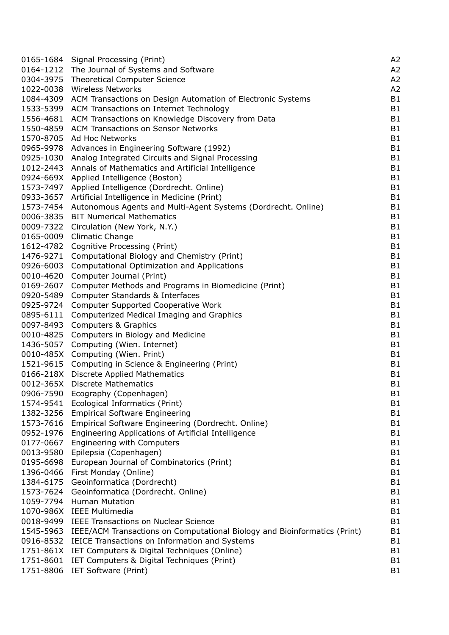|           | 0165-1684 Signal Processing (Print)                                       | A <sub>2</sub> |
|-----------|---------------------------------------------------------------------------|----------------|
| 0164-1212 | The Journal of Systems and Software                                       | A2             |
| 0304-3975 | <b>Theoretical Computer Science</b>                                       | A <sub>2</sub> |
| 1022-0038 | <b>Wireless Networks</b>                                                  | A <sub>2</sub> |
| 1084-4309 | ACM Transactions on Design Automation of Electronic Systems               | <b>B1</b>      |
| 1533-5399 | ACM Transactions on Internet Technology                                   | <b>B1</b>      |
| 1556-4681 | ACM Transactions on Knowledge Discovery from Data                         | <b>B1</b>      |
| 1550-4859 | <b>ACM Transactions on Sensor Networks</b>                                | B1             |
| 1570-8705 | Ad Hoc Networks                                                           | <b>B1</b>      |
| 0965-9978 | Advances in Engineering Software (1992)                                   | <b>B1</b>      |
| 0925-1030 | Analog Integrated Circuits and Signal Processing                          | <b>B1</b>      |
| 1012-2443 | Annals of Mathematics and Artificial Intelligence                         | <b>B1</b>      |
|           | 0924-669X Applied Intelligence (Boston)                                   | <b>B1</b>      |
| 1573-7497 | Applied Intelligence (Dordrecht. Online)                                  | B1             |
| 0933-3657 | Artificial Intelligence in Medicine (Print)                               | <b>B1</b>      |
| 1573-7454 | Autonomous Agents and Multi-Agent Systems (Dordrecht. Online)             | B <sub>1</sub> |
| 0006-3835 | <b>BIT Numerical Mathematics</b>                                          | <b>B1</b>      |
| 0009-7322 | Circulation (New York, N.Y.)                                              | <b>B1</b>      |
| 0165-0009 | Climatic Change                                                           | B1             |
| 1612-4782 | Cognitive Processing (Print)                                              | <b>B1</b>      |
| 1476-9271 | Computational Biology and Chemistry (Print)                               | <b>B1</b>      |
| 0926-6003 | Computational Optimization and Applications                               | <b>B1</b>      |
| 0010-4620 | Computer Journal (Print)                                                  | <b>B1</b>      |
| 0169-2607 | Computer Methods and Programs in Biomedicine (Print)                      | <b>B1</b>      |
| 0920-5489 | Computer Standards & Interfaces                                           | <b>B1</b>      |
| 0925-9724 | <b>Computer Supported Cooperative Work</b>                                | <b>B1</b>      |
| 0895-6111 | Computerized Medical Imaging and Graphics                                 | <b>B1</b>      |
| 0097-8493 | Computers & Graphics                                                      | <b>B1</b>      |
|           | 0010-4825 Computers in Biology and Medicine                               | <b>B1</b>      |
| 1436-5057 | Computing (Wien. Internet)                                                | <b>B1</b>      |
| 0010-485X | Computing (Wien. Print)                                                   | <b>B1</b>      |
| 1521-9615 | Computing in Science & Engineering (Print)                                | <b>B1</b>      |
|           | 0166-218X Discrete Applied Mathematics                                    | <b>B1</b>      |
|           | 0012-365X Discrete Mathematics                                            | <b>B1</b>      |
|           | 0906-7590 Ecography (Copenhagen)                                          | B1             |
| 1574-9541 | Ecological Informatics (Print)                                            | B <sub>1</sub> |
| 1382-3256 | <b>Empirical Software Engineering</b>                                     | B1             |
| 1573-7616 | Empirical Software Engineering (Dordrecht. Online)                        | <b>B1</b>      |
| 0952-1976 | Engineering Applications of Artificial Intelligence                       | <b>B1</b>      |
| 0177-0667 | Engineering with Computers                                                | B <sub>1</sub> |
| 0013-9580 | Epilepsia (Copenhagen)                                                    | <b>B1</b>      |
| 0195-6698 | European Journal of Combinatorics (Print)                                 | <b>B1</b>      |
| 1396-0466 | First Monday (Online)                                                     | <b>B1</b>      |
| 1384-6175 | Geoinformatica (Dordrecht)                                                | <b>B1</b>      |
| 1573-7624 | Geoinformatica (Dordrecht. Online)                                        | <b>B1</b>      |
| 1059-7794 | <b>Human Mutation</b>                                                     | B <sub>1</sub> |
|           | 1070-986X IEEE Multimedia                                                 | <b>B1</b>      |
| 0018-9499 | <b>IEEE Transactions on Nuclear Science</b>                               | <b>B1</b>      |
| 1545-5963 | IEEE/ACM Transactions on Computational Biology and Bioinformatics (Print) | <b>B1</b>      |
| 0916-8532 | IEICE Transactions on Information and Systems                             | <b>B1</b>      |
| 1751-861X | IET Computers & Digital Techniques (Online)                               | <b>B1</b>      |
| 1751-8601 | IET Computers & Digital Techniques (Print)                                | B <sub>1</sub> |
| 1751-8806 | IET Software (Print)                                                      | B <sub>1</sub> |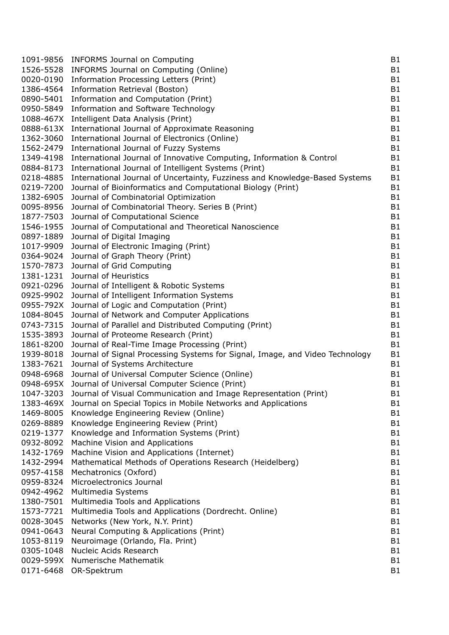| 1091-9856 | <b>INFORMS Journal on Computing</b>                                          | B1             |
|-----------|------------------------------------------------------------------------------|----------------|
| 1526-5528 | INFORMS Journal on Computing (Online)                                        | <b>B1</b>      |
| 0020-0190 | Information Processing Letters (Print)                                       | B1             |
| 1386-4564 | Information Retrieval (Boston)                                               | B1             |
| 0890-5401 | Information and Computation (Print)                                          | <b>B1</b>      |
| 0950-5849 | Information and Software Technology                                          | <b>B1</b>      |
| 1088-467X | Intelligent Data Analysis (Print)                                            | <b>B1</b>      |
| 0888-613X | International Journal of Approximate Reasoning                               | <b>B1</b>      |
| 1362-3060 | International Journal of Electronics (Online)                                | <b>B1</b>      |
| 1562-2479 | International Journal of Fuzzy Systems                                       | B1             |
| 1349-4198 | International Journal of Innovative Computing, Information & Control         | <b>B1</b>      |
| 0884-8173 | International Journal of Intelligent Systems (Print)                         | <b>B1</b>      |
| 0218-4885 | International Journal of Uncertainty, Fuzziness and Knowledge-Based Systems  | B1             |
| 0219-7200 | Journal of Bioinformatics and Computational Biology (Print)                  | B1             |
| 1382-6905 | Journal of Combinatorial Optimization                                        | <b>B1</b>      |
| 0095-8956 | Journal of Combinatorial Theory. Series B (Print)                            | <b>B1</b>      |
| 1877-7503 | Journal of Computational Science                                             | <b>B1</b>      |
| 1546-1955 | Journal of Computational and Theoretical Nanoscience                         | <b>B1</b>      |
| 0897-1889 | Journal of Digital Imaging                                                   | <b>B1</b>      |
| 1017-9909 | Journal of Electronic Imaging (Print)                                        | B1             |
| 0364-9024 | Journal of Graph Theory (Print)                                              | B1             |
| 1570-7873 | Journal of Grid Computing                                                    | B1             |
| 1381-1231 | Journal of Heuristics                                                        | <b>B1</b>      |
| 0921-0296 | Journal of Intelligent & Robotic Systems                                     | <b>B1</b>      |
| 0925-9902 | Journal of Intelligent Information Systems                                   | <b>B1</b>      |
| 0955-792X | Journal of Logic and Computation (Print)                                     | B1             |
| 1084-8045 | Journal of Network and Computer Applications                                 | <b>B1</b>      |
| 0743-7315 | Journal of Parallel and Distributed Computing (Print)                        | <b>B1</b>      |
| 1535-3893 | Journal of Proteome Research (Print)                                         | <b>B1</b>      |
| 1861-8200 | Journal of Real-Time Image Processing (Print)                                | B1             |
| 1939-8018 | Journal of Signal Processing Systems for Signal, Image, and Video Technology | B1             |
| 1383-7621 | Journal of Systems Architecture                                              | B1             |
| 0948-6968 | Journal of Universal Computer Science (Online)                               | <b>B1</b>      |
| 0948-695X | Journal of Universal Computer Science (Print)                                | <b>B1</b>      |
|           | 1047-3203 Journal of Visual Communication and Image Representation (Print)   | <b>B1</b>      |
| 1383-469X | Journal on Special Topics in Mobile Networks and Applications                | <b>B1</b>      |
| 1469-8005 | Knowledge Engineering Review (Online)                                        | <b>B1</b>      |
| 0269-8889 | Knowledge Engineering Review (Print)                                         | B <sub>1</sub> |
| 0219-1377 | Knowledge and Information Systems (Print)                                    | B <sub>1</sub> |
| 0932-8092 | Machine Vision and Applications                                              | <b>B1</b>      |
| 1432-1769 | Machine Vision and Applications (Internet)                                   | B <sub>1</sub> |
| 1432-2994 | Mathematical Methods of Operations Research (Heidelberg)                     | <b>B1</b>      |
| 0957-4158 | Mechatronics (Oxford)                                                        | <b>B1</b>      |
| 0959-8324 | Microelectronics Journal                                                     | <b>B1</b>      |
| 0942-4962 | Multimedia Systems                                                           | B1             |
| 1380-7501 | Multimedia Tools and Applications                                            | <b>B1</b>      |
| 1573-7721 | Multimedia Tools and Applications (Dordrecht. Online)                        | B <sub>1</sub> |
| 0028-3045 | Networks (New York, N.Y. Print)                                              | <b>B1</b>      |
| 0941-0643 | Neural Computing & Applications (Print)                                      | <b>B1</b>      |
| 1053-8119 | Neuroimage (Orlando, Fla. Print)                                             | <b>B1</b>      |
| 0305-1048 | Nucleic Acids Research                                                       | <b>B1</b>      |
| 0029-599X | Numerische Mathematik                                                        | <b>B1</b>      |
| 0171-6468 | OR-Spektrum                                                                  | B <sub>1</sub> |
|           |                                                                              |                |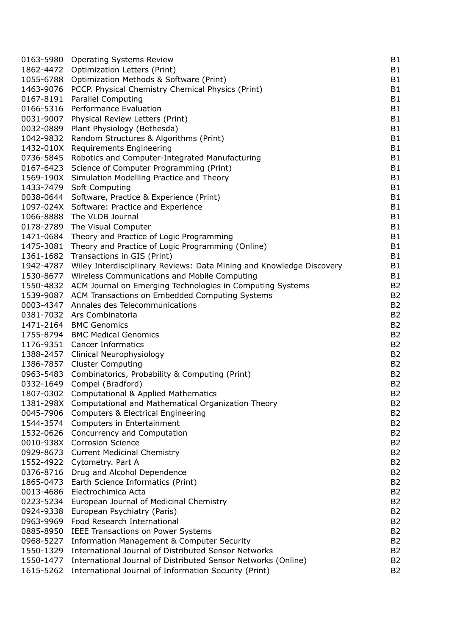|           | 0163-5980 Operating Systems Review                                                                 | <b>B1</b>      |
|-----------|----------------------------------------------------------------------------------------------------|----------------|
| 1862-4472 | Optimization Letters (Print)                                                                       | B1             |
| 1055-6788 | Optimization Methods & Software (Print)                                                            | <b>B1</b>      |
| 1463-9076 | PCCP. Physical Chemistry Chemical Physics (Print)                                                  | <b>B1</b>      |
| 0167-8191 | <b>Parallel Computing</b>                                                                          | <b>B1</b>      |
| 0166-5316 | Performance Evaluation                                                                             | <b>B1</b>      |
| 0031-9007 | Physical Review Letters (Print)                                                                    | B1             |
| 0032-0889 | Plant Physiology (Bethesda)                                                                        | <b>B1</b>      |
| 1042-9832 | Random Structures & Algorithms (Print)                                                             | <b>B1</b>      |
| 1432-010X | Requirements Engineering                                                                           | <b>B1</b>      |
| 0736-5845 | Robotics and Computer-Integrated Manufacturing                                                     | <b>B1</b>      |
| 0167-6423 |                                                                                                    | <b>B1</b>      |
|           | Science of Computer Programming (Print)                                                            |                |
| 1569-190X | Simulation Modelling Practice and Theory                                                           | <b>B1</b>      |
| 1433-7479 | Soft Computing                                                                                     | <b>B1</b>      |
| 0038-0644 | Software, Practice & Experience (Print)                                                            | <b>B1</b>      |
|           | 1097-024X Software: Practice and Experience                                                        | <b>B1</b>      |
| 1066-8888 | The VLDB Journal                                                                                   | <b>B1</b>      |
| 0178-2789 | The Visual Computer                                                                                | <b>B1</b>      |
| 1471-0684 | Theory and Practice of Logic Programming                                                           | B1             |
| 1475-3081 | Theory and Practice of Logic Programming (Online)                                                  | <b>B1</b>      |
| 1361-1682 | Transactions in GIS (Print)                                                                        | <b>B1</b>      |
| 1942-4787 | Wiley Interdisciplinary Reviews: Data Mining and Knowledge Discovery                               | B <sub>1</sub> |
| 1530-8677 | Wireless Communications and Mobile Computing                                                       | B1             |
| 1550-4832 | ACM Journal on Emerging Technologies in Computing Systems                                          | B <sub>2</sub> |
| 1539-9087 | ACM Transactions on Embedded Computing Systems                                                     | B <sub>2</sub> |
| 0003-4347 | Annales des Telecommunications                                                                     | B <sub>2</sub> |
| 0381-7032 | Ars Combinatoria                                                                                   | B <sub>2</sub> |
|           | 1471-2164 BMC Genomics                                                                             | B <sub>2</sub> |
|           | 1755-8794 BMC Medical Genomics                                                                     | B <sub>2</sub> |
| 1176-9351 | <b>Cancer Informatics</b>                                                                          | B <sub>2</sub> |
| 1388-2457 | Clinical Neurophysiology                                                                           | B <sub>2</sub> |
| 1386-7857 | <b>Cluster Computing</b>                                                                           | B <sub>2</sub> |
| 0963-5483 | Combinatorics, Probability & Computing (Print)                                                     | B <sub>2</sub> |
| 0332-1649 | Compel (Bradford)                                                                                  | B <sub>2</sub> |
|           | 1807-0302 Computational & Applied Mathematics                                                      | B <sub>2</sub> |
| 1381-298X | Computational and Mathematical Organization Theory                                                 | B <sub>2</sub> |
| 0045-7906 | <b>Computers &amp; Electrical Engineering</b>                                                      | B <sub>2</sub> |
| 1544-3574 | Computers in Entertainment                                                                         | B <sub>2</sub> |
| 1532-0626 | Concurrency and Computation                                                                        | B <sub>2</sub> |
| 0010-938X | <b>Corrosion Science</b>                                                                           | B <sub>2</sub> |
| 0929-8673 | <b>Current Medicinal Chemistry</b>                                                                 | B <sub>2</sub> |
| 1552-4922 | Cytometry. Part A                                                                                  | B <sub>2</sub> |
| 0376-8716 | Drug and Alcohol Dependence                                                                        | B <sub>2</sub> |
| 1865-0473 | Earth Science Informatics (Print)                                                                  | B <sub>2</sub> |
| 0013-4686 | Electrochimica Acta                                                                                | B <sub>2</sub> |
| 0223-5234 | European Journal of Medicinal Chemistry                                                            | B <sub>2</sub> |
| 0924-9338 | European Psychiatry (Paris)                                                                        | B <sub>2</sub> |
| 0963-9969 | Food Research International                                                                        | B <sub>2</sub> |
| 0885-8950 | <b>IEEE Transactions on Power Systems</b>                                                          | B <sub>2</sub> |
| 0968-5227 |                                                                                                    | B <sub>2</sub> |
| 1550-1329 | Information Management & Computer Security<br>International Journal of Distributed Sensor Networks | B <sub>2</sub> |
|           |                                                                                                    |                |
| 1550-1477 | International Journal of Distributed Sensor Networks (Online)                                      | B <sub>2</sub> |
| 1615-5262 | International Journal of Information Security (Print)                                              | B <sub>2</sub> |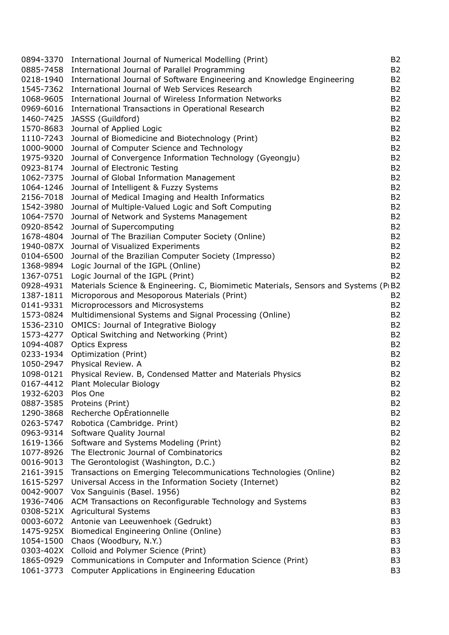| 0894-3370          | International Journal of Numerical Modelling (Print)                                 | <b>B2</b>      |
|--------------------|--------------------------------------------------------------------------------------|----------------|
| 0885-7458          | International Journal of Parallel Programming                                        | <b>B2</b>      |
| 0218-1940          | International Journal of Software Engineering and Knowledge Engineering              | <b>B2</b>      |
| 1545-7362          | International Journal of Web Services Research                                       | <b>B2</b>      |
| 1068-9605          | International Journal of Wireless Information Networks                               | <b>B2</b>      |
| 0969-6016          | International Transactions in Operational Research                                   | B <sub>2</sub> |
| 1460-7425          | JASSS (Guildford)                                                                    | <b>B2</b>      |
| 1570-8683          | Journal of Applied Logic                                                             | <b>B2</b>      |
| 1110-7243          | Journal of Biomedicine and Biotechnology (Print)                                     | B <sub>2</sub> |
| 1000-9000          |                                                                                      | <b>B2</b>      |
|                    | Journal of Computer Science and Technology                                           |                |
| 1975-9320          | Journal of Convergence Information Technology (Gyeongju)                             | <b>B2</b>      |
| 0923-8174          | Journal of Electronic Testing                                                        | B <sub>2</sub> |
| 1062-7375          | Journal of Global Information Management                                             | <b>B2</b>      |
| 1064-1246          | Journal of Intelligent & Fuzzy Systems                                               | <b>B2</b>      |
| 2156-7018          | Journal of Medical Imaging and Health Informatics                                    | <b>B2</b>      |
| 1542-3980          | Journal of Multiple-Valued Logic and Soft Computing                                  | <b>B2</b>      |
| 1064-7570          | Journal of Network and Systems Management                                            | <b>B2</b>      |
| 0920-8542          | Journal of Supercomputing                                                            | B <sub>2</sub> |
| 1678-4804          | Journal of The Brazilian Computer Society (Online)                                   | <b>B2</b>      |
| 1940-087X          | Journal of Visualized Experiments                                                    | <b>B2</b>      |
| 0104-6500          | Journal of the Brazilian Computer Society (Impresso)                                 | B <sub>2</sub> |
| 1368-9894          | Logic Journal of the IGPL (Online)                                                   | B <sub>2</sub> |
| 1367-0751          | Logic Journal of the IGPL (Print)                                                    | <b>B2</b>      |
| 0928-4931          | Materials Science & Engineering. C, Biomimetic Materials, Sensors and Systems (PIB2) |                |
| 1387-1811          | Microporous and Mesoporous Materials (Print)                                         | <b>B2</b>      |
| 0141-9331          | Microprocessors and Microsystems                                                     | B <sub>2</sub> |
| 1573-0824          | Multidimensional Systems and Signal Processing (Online)                              | B <sub>2</sub> |
| 1536-2310          | <b>OMICS: Journal of Integrative Biology</b>                                         | B <sub>2</sub> |
| 1573-4277          | Optical Switching and Networking (Print)                                             | <b>B2</b>      |
| 1094-4087          | <b>Optics Express</b>                                                                | <b>B2</b>      |
| 0233-1934          | Optimization (Print)                                                                 | <b>B2</b>      |
| 1050-2947          | Physical Review. A                                                                   | <b>B2</b>      |
| 1098-0121          | Physical Review. B, Condensed Matter and Materials Physics                           | B <sub>2</sub> |
| 0167-4412          | Plant Molecular Biology                                                              | B <sub>2</sub> |
| 1932-6203 Plos One |                                                                                      | <b>B2</b>      |
|                    |                                                                                      |                |
| 0887-3585          | Proteins (Print)                                                                     | B2             |
| 1290-3868          | Recherche OpÉrationnelle                                                             | <b>B2</b>      |
| 0263-5747          | Robotica (Cambridge. Print)                                                          | B <sub>2</sub> |
| 0963-9314          | Software Quality Journal                                                             | B <sub>2</sub> |
| 1619-1366          | Software and Systems Modeling (Print)                                                | B <sub>2</sub> |
| 1077-8926          | The Electronic Journal of Combinatorics                                              | B <sub>2</sub> |
| 0016-9013          | The Gerontologist (Washington, D.C.)                                                 | B <sub>2</sub> |
| 2161-3915          | Transactions on Emerging Telecommunications Technologies (Online)                    | B <sub>2</sub> |
| 1615-5297          | Universal Access in the Information Society (Internet)                               | B <sub>2</sub> |
| 0042-9007          | Vox Sanguinis (Basel. 1956)                                                          | B <sub>2</sub> |
| 1936-7406          | ACM Transactions on Reconfigurable Technology and Systems                            | B <sub>3</sub> |
| 0308-521X          | <b>Agricultural Systems</b>                                                          | B <sub>3</sub> |
| 0003-6072          | Antonie van Leeuwenhoek (Gedrukt)                                                    | B <sub>3</sub> |
| 1475-925X          | Biomedical Engineering Online (Online)                                               | B <sub>3</sub> |
| 1054-1500          | Chaos (Woodbury, N.Y.)                                                               | B <sub>3</sub> |
| 0303-402X          | Colloid and Polymer Science (Print)                                                  | B <sub>3</sub> |
| 1865-0929          | Communications in Computer and Information Science (Print)                           | B <sub>3</sub> |
| 1061-3773          | Computer Applications in Engineering Education                                       | B3             |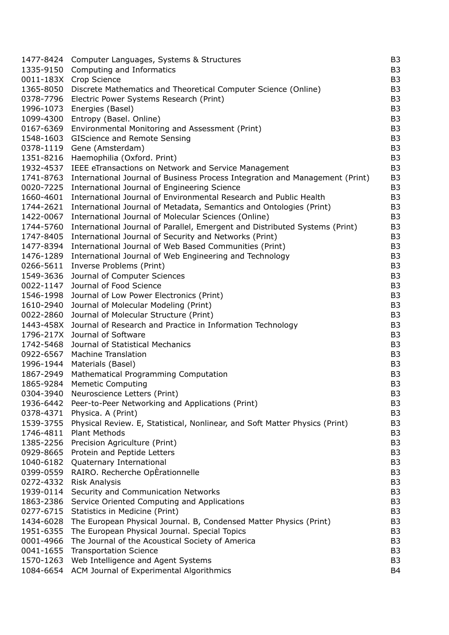| 1477-8424 | Computer Languages, Systems & Structures                                     | B <sub>3</sub> |
|-----------|------------------------------------------------------------------------------|----------------|
| 1335-9150 | Computing and Informatics                                                    | B <sub>3</sub> |
| 0011-183X | Crop Science                                                                 | B <sub>3</sub> |
| 1365-8050 | Discrete Mathematics and Theoretical Computer Science (Online)               | B <sub>3</sub> |
| 0378-7796 | Electric Power Systems Research (Print)                                      | B <sub>3</sub> |
| 1996-1073 | Energies (Basel)                                                             | B <sub>3</sub> |
| 1099-4300 | Entropy (Basel. Online)                                                      | B <sub>3</sub> |
| 0167-6369 | Environmental Monitoring and Assessment (Print)                              | B <sub>3</sub> |
| 1548-1603 | <b>GIScience and Remote Sensing</b>                                          | B <sub>3</sub> |
| 0378-1119 | Gene (Amsterdam)                                                             | B <sub>3</sub> |
| 1351-8216 | Haemophilia (Oxford. Print)                                                  | B <sub>3</sub> |
| 1932-4537 | IEEE eTransactions on Network and Service Management                         | B <sub>3</sub> |
| 1741-8763 | International Journal of Business Process Integration and Management (Print) | B <sub>3</sub> |
| 0020-7225 | International Journal of Engineering Science                                 | B <sub>3</sub> |
| 1660-4601 | International Journal of Environmental Research and Public Health            | B <sub>3</sub> |
| 1744-2621 | International Journal of Metadata, Semantics and Ontologies (Print)          | B <sub>3</sub> |
| 1422-0067 | International Journal of Molecular Sciences (Online)                         | B <sub>3</sub> |
| 1744-5760 | International Journal of Parallel, Emergent and Distributed Systems (Print)  | B <sub>3</sub> |
| 1747-8405 | International Journal of Security and Networks (Print)                       | B <sub>3</sub> |
| 1477-8394 | International Journal of Web Based Communities (Print)                       | B <sub>3</sub> |
| 1476-1289 | International Journal of Web Engineering and Technology                      | B <sub>3</sub> |
| 0266-5611 | Inverse Problems (Print)                                                     | B <sub>3</sub> |
| 1549-3636 | Journal of Computer Sciences                                                 | B <sub>3</sub> |
| 0022-1147 | Journal of Food Science                                                      | B <sub>3</sub> |
| 1546-1998 | Journal of Low Power Electronics (Print)                                     | B <sub>3</sub> |
| 1610-2940 | Journal of Molecular Modeling (Print)                                        | B <sub>3</sub> |
| 0022-2860 | Journal of Molecular Structure (Print)                                       | B <sub>3</sub> |
| 1443-458X | Journal of Research and Practice in Information Technology                   | B <sub>3</sub> |
| 1796-217X | Journal of Software                                                          | B <sub>3</sub> |
| 1742-5468 | Journal of Statistical Mechanics                                             | B <sub>3</sub> |
| 0922-6567 | <b>Machine Translation</b>                                                   | B <sub>3</sub> |
| 1996-1944 | Materials (Basel)                                                            | B <sub>3</sub> |
| 1867-2949 | Mathematical Programming Computation                                         | B <sub>3</sub> |
| 1865-9284 | <b>Memetic Computing</b>                                                     | B <sub>3</sub> |
| 0304-3940 | Neuroscience Letters (Print)                                                 | B <sub>3</sub> |
| 1936-6442 | Peer-to-Peer Networking and Applications (Print)                             | B <sub>3</sub> |
| 0378-4371 | Physica. A (Print)                                                           | B <sub>3</sub> |
| 1539-3755 | Physical Review. E, Statistical, Nonlinear, and Soft Matter Physics (Print)  | B <sub>3</sub> |
| 1746-4811 | <b>Plant Methods</b>                                                         | B <sub>3</sub> |
| 1385-2256 | Precision Agriculture (Print)                                                | B <sub>3</sub> |
| 0929-8665 | Protein and Peptide Letters                                                  | B <sub>3</sub> |
| 1040-6182 | Quaternary International                                                     | B <sub>3</sub> |
| 0399-0559 | RAIRO. Recherche OpErationnelle                                              | B <sub>3</sub> |
| 0272-4332 | <b>Risk Analysis</b>                                                         | B <sub>3</sub> |
| 1939-0114 | Security and Communication Networks                                          | B <sub>3</sub> |
| 1863-2386 | Service Oriented Computing and Applications                                  | B <sub>3</sub> |
| 0277-6715 | Statistics in Medicine (Print)                                               | B <sub>3</sub> |
| 1434-6028 | The European Physical Journal. B, Condensed Matter Physics (Print)           | B <sub>3</sub> |
| 1951-6355 | The European Physical Journal. Special Topics                                | B <sub>3</sub> |
| 0001-4966 | The Journal of the Acoustical Society of America                             | B <sub>3</sub> |
| 0041-1655 | <b>Transportation Science</b>                                                | B <sub>3</sub> |
| 1570-1263 | Web Intelligence and Agent Systems                                           | B <sub>3</sub> |
|           | 1084-6654 ACM Journal of Experimental Algorithmics                           | B <sub>4</sub> |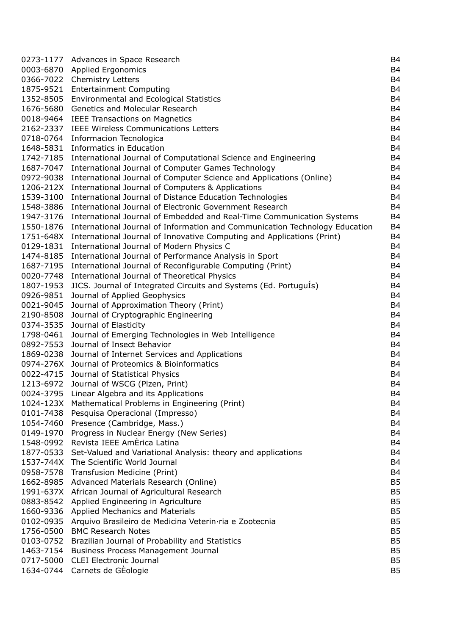|                        | 0273-1177 Advances in Space Research                                        | B <sub>4</sub>                   |
|------------------------|-----------------------------------------------------------------------------|----------------------------------|
| 0003-6870              | <b>Applied Ergonomics</b>                                                   | <b>B4</b>                        |
| 0366-7022              | <b>Chemistry Letters</b>                                                    | B <sub>4</sub>                   |
| 1875-9521              | <b>Entertainment Computing</b>                                              | B <sub>4</sub>                   |
| 1352-8505              | <b>Environmental and Ecological Statistics</b>                              | B <sub>4</sub>                   |
| 1676-5680              | Genetics and Molecular Research                                             | B <sub>4</sub>                   |
| 0018-9464              | <b>IEEE Transactions on Magnetics</b>                                       | B <sub>4</sub>                   |
| 2162-2337              | <b>IEEE Wireless Communications Letters</b>                                 | B <sub>4</sub>                   |
| 0718-0764              | Informacion Tecnologica                                                     | B <sub>4</sub>                   |
| 1648-5831              | Informatics in Education                                                    | B <sub>4</sub>                   |
| 1742-7185              | International Journal of Computational Science and Engineering              | B <sub>4</sub>                   |
| 1687-7047              | International Journal of Computer Games Technology                          | B <sub>4</sub>                   |
| 0972-9038              | International Journal of Computer Science and Applications (Online)         | B <sub>4</sub>                   |
| 1206-212X              | International Journal of Computers & Applications                           | B <sub>4</sub>                   |
| 1539-3100              | International Journal of Distance Education Technologies                    | B <sub>4</sub>                   |
| 1548-3886              | International Journal of Electronic Government Research                     | B <sub>4</sub>                   |
| 1947-3176              | International Journal of Embedded and Real-Time Communication Systems       | B <sub>4</sub>                   |
| 1550-1876              | International Journal of Information and Communication Technology Education | <b>B4</b>                        |
| 1751-648X              | International Journal of Innovative Computing and Applications (Print)      | B <sub>4</sub>                   |
| 0129-1831              | International Journal of Modern Physics C                                   | B <sub>4</sub>                   |
| 1474-8185              | International Journal of Performance Analysis in Sport                      | B <sub>4</sub>                   |
| 1687-7195              | International Journal of Reconfigurable Computing (Print)                   | B <sub>4</sub>                   |
| 0020-7748              | International Journal of Theoretical Physics                                | B <sub>4</sub>                   |
| 1807-1953              | JICS. Journal of Integrated Circuits and Systems (Ed. PortuguIs)            | B <sub>4</sub>                   |
| 0926-9851              | Journal of Applied Geophysics                                               | B <sub>4</sub>                   |
| 0021-9045              | Journal of Approximation Theory (Print)                                     | B <sub>4</sub>                   |
| 2190-8508              | Journal of Cryptographic Engineering                                        | B <sub>4</sub>                   |
| 0374-3535              | Journal of Elasticity                                                       | B <sub>4</sub>                   |
| 1798-0461              | Journal of Emerging Technologies in Web Intelligence                        | B <sub>4</sub>                   |
| 0892-7553              | Journal of Insect Behavior                                                  | B <sub>4</sub>                   |
| 1869-0238              | Journal of Internet Services and Applications                               | B <sub>4</sub>                   |
| 0974-276X              | Journal of Proteomics & Bioinformatics                                      | B <sub>4</sub>                   |
|                        |                                                                             | B <sub>4</sub>                   |
| 0022-4715<br>1213-6972 | Journal of Statistical Physics                                              |                                  |
|                        | Journal of WSCG (Plzen, Print)                                              | B <sub>4</sub><br>B <sub>4</sub> |
|                        | 0024-3795 Linear Algebra and its Applications                               |                                  |
| 1024-123X              | Mathematical Problems in Engineering (Print)                                | B <sub>4</sub>                   |
| 0101-7438              | Pesquisa Operacional (Impresso)                                             | B <sub>4</sub>                   |
| 1054-7460              | Presence (Cambridge, Mass.)                                                 | B <sub>4</sub>                   |
| 0149-1970              | Progress in Nuclear Energy (New Series)                                     | B <sub>4</sub>                   |
| 1548-0992              | Revista IEEE AmErica Latina                                                 | B <sub>4</sub>                   |
| 1877-0533              | Set-Valued and Variational Analysis: theory and applications                | B <sub>4</sub>                   |
| 1537-744X              | The Scientific World Journal                                                | B <sub>4</sub>                   |
| 0958-7578              | Transfusion Medicine (Print)                                                | B <sub>4</sub>                   |
| 1662-8985              | Advanced Materials Research (Online)                                        | B <sub>5</sub>                   |
| 1991-637X              | African Journal of Agricultural Research                                    | B <sub>5</sub>                   |
|                        | 0883-8542 Applied Engineering in Agriculture                                | B <sub>5</sub>                   |
| 1660-9336              | <b>Applied Mechanics and Materials</b>                                      | B <sub>5</sub>                   |
| 0102-0935              | Arquivo Brasileiro de Medicina Veterin ria e Zootecnia                      | B <sub>5</sub>                   |
| 1756-0500              | <b>BMC Research Notes</b>                                                   | B <sub>5</sub>                   |
| 0103-0752              | Brazilian Journal of Probability and Statistics                             | B <sub>5</sub>                   |
| 1463-7154              | <b>Business Process Management Journal</b>                                  | B <sub>5</sub>                   |
| 0717-5000              | <b>CLEI Electronic Journal</b>                                              | B <sub>5</sub>                   |
|                        | 1634-0744 Carnets de GÉologie                                               | B <sub>5</sub>                   |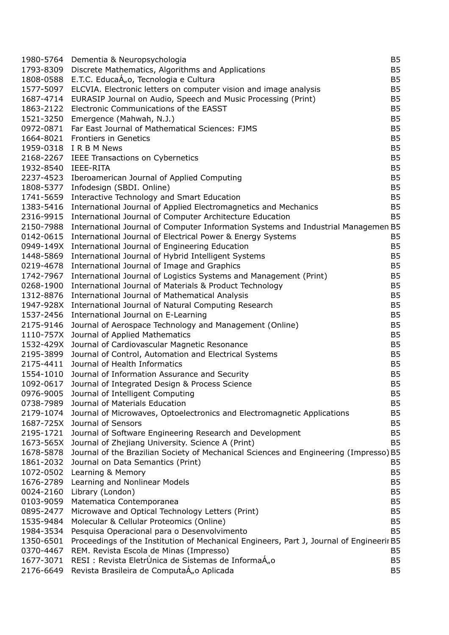|                     | 1980-5764 Dementia & Neuropsychologia                                                           | B <sub>5</sub>              |
|---------------------|-------------------------------------------------------------------------------------------------|-----------------------------|
|                     | 1793-8309 Discrete Mathematics, Algorithms and Applications                                     | <b>B5</b>                   |
|                     | 1808-0588 E.T.C. EducaÁ <sub>no</sub> , Tecnologia e Cultura                                    | B <sub>5</sub>              |
|                     | 1577-5097 ELCVIA. Electronic letters on computer vision and image analysis                      | B <sub>5</sub>              |
|                     | 1687-4714 EURASIP Journal on Audio, Speech and Music Processing (Print)                         | B <sub>5</sub>              |
|                     | 1863-2122 Electronic Communications of the EASST                                                | B <sub>5</sub>              |
|                     | 1521-3250 Emergence (Mahwah, N.J.)                                                              | B <sub>5</sub>              |
|                     | 0972-0871 Far East Journal of Mathematical Sciences: FJMS                                       | B <sub>5</sub>              |
|                     | 1664-8021 Frontiers in Genetics                                                                 | B <sub>5</sub>              |
|                     | 1959-0318 IRBM News                                                                             | B <sub>5</sub>              |
|                     | 2168-2267 IEEE Transactions on Cybernetics                                                      | B <sub>5</sub>              |
| 1932-8540 IEEE-RITA |                                                                                                 | B <sub>5</sub>              |
|                     | 2237-4523 Iberoamerican Journal of Applied Computing                                            | B <sub>5</sub>              |
|                     | 1808-5377 Infodesign (SBDI. Online)                                                             | B <sub>5</sub>              |
|                     | 1741-5659 Interactive Technology and Smart Education                                            | B <sub>5</sub>              |
|                     | 1383-5416 International Journal of Applied Electromagnetics and Mechanics                       | B <sub>5</sub>              |
|                     | 2316-9915 International Journal of Computer Architecture Education                              | <b>B5</b>                   |
|                     | 2150-7988 International Journal of Computer Information Systems and Industrial Managemen B5     |                             |
|                     | 0142-0615 International Journal of Electrical Power & Energy Systems                            | <b>B5</b>                   |
|                     | 0949-149X International Journal of Engineering Education                                        | B <sub>5</sub>              |
|                     | 1448-5869 International Journal of Hybrid Intelligent Systems                                   | B <sub>5</sub>              |
|                     | 0219-4678 International Journal of Image and Graphics                                           | B <sub>5</sub>              |
|                     | 1742-7967 International Journal of Logistics Systems and Management (Print)                     | B <sub>5</sub>              |
|                     | 0268-1900 International Journal of Materials & Product Technology                               | B <sub>5</sub>              |
|                     | 1312-8876 International Journal of Mathematical Analysis                                        | B <sub>5</sub>              |
|                     | 1947-928X International Journal of Natural Computing Research                                   | B <sub>5</sub>              |
|                     | 1537-2456 International Journal on E-Learning                                                   | B <sub>5</sub>              |
|                     | 2175-9146 Journal of Aerospace Technology and Management (Online)                               | B <sub>5</sub>              |
|                     | 1110-757X Journal of Applied Mathematics                                                        | B <sub>5</sub>              |
|                     | 1532-429X Journal of Cardiovascular Magnetic Resonance                                          | B <sub>5</sub>              |
|                     | 2195-3899 Journal of Control, Automation and Electrical Systems                                 | B <sub>5</sub>              |
|                     | 2175-4411 Journal of Health Informatics                                                         | B <sub>5</sub>              |
|                     | 1554-1010 Journal of Information Assurance and Security                                         | B <sub>5</sub>              |
|                     | 1092-0617 Journal of Integrated Design & Process Science                                        | <b>B5</b>                   |
|                     | 0976-9005 Journal of Intelligent Computing                                                      | <b>B5</b>                   |
|                     | 0738-7989 Journal of Materials Education                                                        | B5                          |
|                     | 2179-1074 Journal of Microwaves, Optoelectronics and Electromagnetic Applications               | B <sub>5</sub>              |
|                     | 1687-725X Journal of Sensors                                                                    | B <sub>5</sub>              |
| 2195-1721           | Journal of Software Engineering Research and Development                                        | B <sub>5</sub>              |
|                     | 1673-565X Journal of Zhejiang University. Science A (Print)                                     | B <sub>5</sub>              |
|                     | 1678-5878 Journal of the Brazilian Society of Mechanical Sciences and Engineering (Impresso) B5 |                             |
|                     | 1861-2032 Journal on Data Semantics (Print)                                                     | <b>B5</b>                   |
| 1072-0502           | Learning & Memory                                                                               | B <sub>5</sub>              |
| 1676-2789           | Learning and Nonlinear Models                                                                   | B <sub>5</sub>              |
| 0024-2160           | Library (London)                                                                                | B <sub>5</sub>              |
|                     | 0103-9059 Matematica Contemporanea                                                              | B <sub>5</sub>              |
| 0895-2477           |                                                                                                 | B <sub>5</sub>              |
|                     | Microwave and Optical Technology Letters (Print)                                                |                             |
| 1535-9484           | Molecular & Cellular Proteomics (Online)                                                        | B <sub>5</sub><br><b>B5</b> |
| 1984-3534           | Pesquisa Operacional para o Desenvolvimento                                                     |                             |
| 1350-6501           | Proceedings of the Institution of Mechanical Engineers, Part J, Journal of Engineerir B5        |                             |
| 0370-4467           | REM. Revista Escola de Minas (Impresso)                                                         | B <sub>5</sub>              |
| 1677-3071           | RESI : Revista EletrUnica de Sistemas de InformaÁ,o                                             | B <sub>5</sub>              |
|                     | 2176-6649 Revista Brasileira de ComputaÁ <sub>n</sub> o Aplicada                                | B <sub>5</sub>              |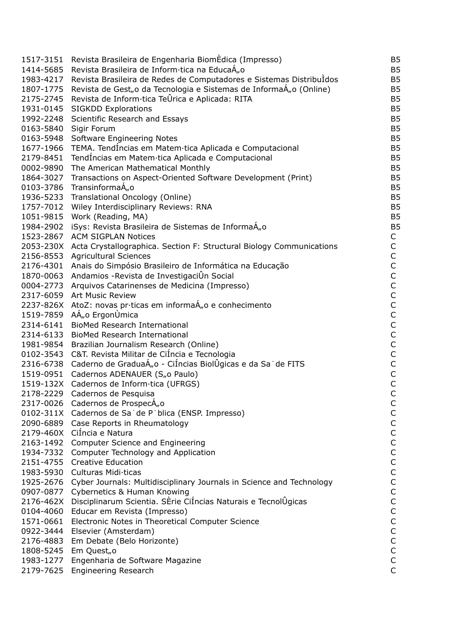| 1517-3151 | Revista Brasileira de Engenharia BiomÉdica (Impresso)                           | B <sub>5</sub> |
|-----------|---------------------------------------------------------------------------------|----------------|
| 1414-5685 | Revista Brasileira de Inform·tica na EducaÁ,o                                   | <b>B5</b>      |
| 1983-4217 | Revista Brasileira de Redes de Computadores e Sistemas DistribuIdos             | B <sub>5</sub> |
|           | 1807-1775 Revista de Gest,, o da Tecnologia e Sistemas de InformaÁ,, o (Online) | B <sub>5</sub> |
|           | 2175-2745 Revista de Inform·tica TeÛrica e Aplicada: RITA                       | B <sub>5</sub> |
| 1931-0145 | <b>SIGKDD Explorations</b>                                                      | B <sub>5</sub> |
| 1992-2248 | Scientific Research and Essays                                                  | <b>B5</b>      |
| 0163-5840 | Sigir Forum                                                                     | <b>B5</b>      |
| 0163-5948 | Software Engineering Notes                                                      | B <sub>5</sub> |
| 1677-1966 | TEMA. TendÍncias em Matem·tica Aplicada e Computacional                         | B <sub>5</sub> |
| 2179-8451 | TendÍncias em Matem·tica Aplicada e Computacional                               | B <sub>5</sub> |
| 0002-9890 | The American Mathematical Monthly                                               | B <sub>5</sub> |
| 1864-3027 |                                                                                 | B <sub>5</sub> |
|           | Transactions on Aspect-Oriented Software Development (Print)                    | B <sub>5</sub> |
| 0103-3786 | TransinformaÁ <sub>n</sub> o                                                    |                |
| 1936-5233 | Translational Oncology (Online)                                                 | B <sub>5</sub> |
| 1757-7012 | Wiley Interdisciplinary Reviews: RNA                                            | B <sub>5</sub> |
| 1051-9815 | Work (Reading, MA)                                                              | B <sub>5</sub> |
|           | 1984-2902 iSys: Revista Brasileira de Sistemas de InformaÁ <sub>n</sub> o       | B <sub>5</sub> |
| 1523-2867 | <b>ACM SIGPLAN Notices</b>                                                      | C              |
|           | 2053-230X Acta Crystallographica. Section F: Structural Biology Communications  | $\mathsf C$    |
| 2156-8553 | <b>Agricultural Sciences</b>                                                    | $\mathsf C$    |
| 2176-4301 | Anais do Simpósio Brasileiro de Informática na Educação                         | $\mathsf C$    |
| 1870-0063 | Andamios -Revista de InvestigaciÛn Social                                       | $\mathsf C$    |
|           | 0004-2773 Arquivos Catarinenses de Medicina (Impresso)                          | $\mathsf C$    |
| 2317-6059 | <b>Art Music Review</b>                                                         | $\mathsf{C}$   |
|           | 2237-826X AtoZ: novas pr·ticas em informaÁ <sub>n</sub> o e conhecimento        | $\mathsf C$    |
|           | 1519-7859 AÁ,, o ErgonÚmica                                                     | $\mathsf C$    |
| 2314-6141 | <b>BioMed Research International</b>                                            | $\mathsf C$    |
| 2314-6133 | <b>BioMed Research International</b>                                            | $\mathsf C$    |
|           | 1981-9854 Brazilian Journalism Research (Online)                                | $\mathsf C$    |
| 0102-3543 | C&T. Revista Militar de CiÍncia e Tecnologia                                    | $\mathsf C$    |
| 2316-6738 | Caderno de GraduaÁ"o - CiÍncias BiolÜgicas e da Saʿde FITS                      | $\mathsf C$    |
| 1519-0951 | Cadernos ADENAUER (S <sub>n</sub> o Paulo)                                      | $\mathsf{C}$   |
|           | 1519-132X Cadernos de Inform·tica (UFRGS)                                       | $\mathsf C$    |
|           | 2178-2229 Cadernos de Pesquisa                                                  | $\mathsf C$    |
|           | 2317-0026 Cadernos de ProspecÁ <sub>n</sub> o                                   | C              |
|           | 0102-311X Cadernos de Sa de Piblica (ENSP. Impresso)                            | $\mathsf C$    |
| 2090-6889 | Case Reports in Rheumatology                                                    | $\mathsf C$    |
|           | 2179-460X CiÍncia e Natura                                                      | $\mathsf{C}$   |
|           | 2163-1492 Computer Science and Engineering                                      | $\mathsf C$    |
|           | 1934-7332 Computer Technology and Application                                   | $\mathsf C$    |
|           | 2151-4755 Creative Education                                                    | $\mathsf{C}$   |
| 1983-5930 | Culturas Midi ticas                                                             | $\mathsf C$    |
| 1925-2676 | Cyber Journals: Multidisciplinary Journals in Science and Technology            | $\mathsf C$    |
|           | 0907-0877 Cybernetics & Human Knowing                                           | $\mathsf C$    |
|           | 2176-462X Disciplinarum Scientia. SÈrie CiÍncias Naturais e TecnolUgicas        | $\mathsf C$    |
| 0104-4060 | Educar em Revista (Impresso)                                                    | $\mathsf C$    |
| 1571-0661 | Electronic Notes in Theoretical Computer Science                                | $\mathsf C$    |
| 0922-3444 | Elsevier (Amsterdam)                                                            | $\mathsf C$    |
| 2176-4883 | Em Debate (Belo Horizonte)                                                      | $\mathsf C$    |
| 1808-5245 | Em Quest <sub>"</sub> o                                                         | $\mathsf C$    |
|           |                                                                                 | $\mathsf C$    |
|           | 1983-1277 Engenharia de Software Magazine                                       | $\mathsf{C}$   |
|           | 2179-7625 Engineering Research                                                  |                |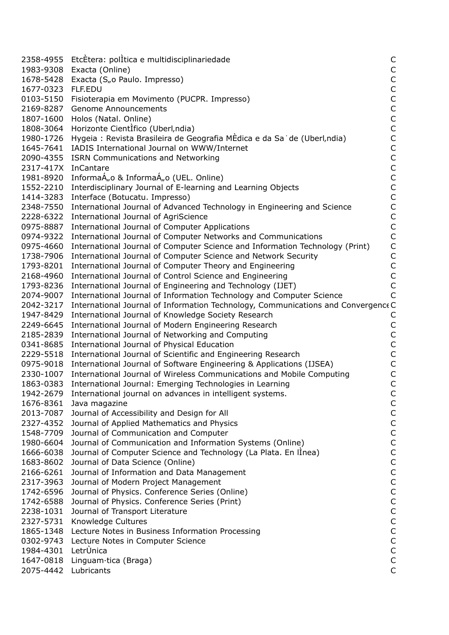| 2358-4955 | EtcÈtera: polÍtica e multidisciplinariedade                                       | C                |
|-----------|-----------------------------------------------------------------------------------|------------------|
| 1983-9308 | Exacta (Online)                                                                   | $\mathsf C$      |
| 1678-5428 | Exacta (S"o Paulo. Impresso)                                                      | $\mathsf C$      |
| 1677-0323 | FLF.EDU                                                                           |                  |
| 0103-5150 | Fisioterapia em Movimento (PUCPR. Impresso)                                       | $\frac{C}{C}$    |
| 2169-8287 | <b>Genome Announcements</b>                                                       | $\mathsf C$      |
| 1807-1600 | Holos (Natal. Online)                                                             | $\mathsf{C}$     |
| 1808-3064 | Horizonte CientIfico (Uberl, ndia)                                                | $\mathsf C$      |
| 1980-1726 | Hygeia : Revista Brasileira de Geografia MÈdica e da Sa de (Uberl, ndia)          | $\mathsf C$      |
| 1645-7641 | IADIS International Journal on WWW/Internet                                       | $\mathsf C$      |
| 2090-4355 | <b>ISRN Communications and Networking</b>                                         |                  |
| 2317-417X | InCantare                                                                         | C<br>C<br>C<br>C |
| 1981-8920 | InformaÁ <sub>n</sub> o & InformaÁ <sub>n</sub> o (UEL. Online)                   |                  |
| 1552-2210 | Interdisciplinary Journal of E-learning and Learning Objects                      |                  |
| 1414-3283 | Interface (Botucatu. Impresso)                                                    | $\mathsf C$      |
| 2348-7550 | International Journal of Advanced Technology in Engineering and Science           | $\mathsf C$      |
| 2228-6322 | International Journal of AgriScience                                              | $\mathsf C$      |
| 0975-8887 | <b>International Journal of Computer Applications</b>                             | $\mathsf C$      |
| 0974-9322 | International Journal of Computer Networks and Communications                     | $\mathsf{C}$     |
| 0975-4660 | International Journal of Computer Science and Information Technology (Print)      | $\mathsf{C}$     |
| 1738-7906 | International Journal of Computer Science and Network Security                    | $\mathsf C$      |
| 1793-8201 | International Journal of Computer Theory and Engineering                          |                  |
| 2168-4960 | International Journal of Control Science and Engineering                          | $\frac{C}{C}$    |
| 1793-8236 | International Journal of Engineering and Technology (IJET)                        | $\mathsf{C}$     |
| 2074-9007 | International Journal of Information Technology and Computer Science              | $\mathsf{C}$     |
| 2042-3217 | International Journal of Information Technology, Communications and Convergence C |                  |
| 1947-8429 | International Journal of Knowledge Society Research                               | C                |
| 2249-6645 | International Journal of Modern Engineering Research                              | $\mathsf C$      |
| 2185-2839 | International Journal of Networking and Computing                                 | $\mathsf C$      |
| 0341-8685 | International Journal of Physical Education                                       |                  |
| 2229-5518 | International Journal of Scientific and Engineering Research                      | $\frac{C}{C}$    |
| 0975-9018 | International Journal of Software Engineering & Applications (IJSEA)              | $\mathsf C$      |
| 2330-1007 | International Journal of Wireless Communications and Mobile Computing             | $\mathsf C$      |
| 1863-0383 | International Journal: Emerging Technologies in Learning                          | $\mathsf C$      |
| 1942-2679 | International journal on advances in intelligent systems.                         | $\mathsf{C}$     |
| 1676-8361 | Java magazine                                                                     | C                |
| 2013-7087 | Journal of Accessibility and Design for All                                       | $\mathsf C$      |
| 2327-4352 | Journal of Applied Mathematics and Physics                                        | $\mathsf C$      |
| 1548-7709 | Journal of Communication and Computer                                             | $\mathsf C$      |
| 1980-6604 | Journal of Communication and Information Systems (Online)                         | $\mathsf C$      |
| 1666-6038 | Journal of Computer Science and Technology (La Plata. En linea)                   | $\mathsf C$      |
| 1683-8602 | Journal of Data Science (Online)                                                  | $\mathsf C$      |
| 2166-6261 | Journal of Information and Data Management                                        | $\mathsf C$      |
| 2317-3963 | Journal of Modern Project Management                                              | $\mathsf C$      |
| 1742-6596 | Journal of Physics. Conference Series (Online)                                    | $\mathsf C$      |
| 1742-6588 | Journal of Physics. Conference Series (Print)                                     | $\mathsf C$      |
| 2238-1031 | Journal of Transport Literature                                                   | $\mathsf C$      |
| 2327-5731 | Knowledge Cultures                                                                | $\mathsf C$      |
| 1865-1348 | Lecture Notes in Business Information Processing                                  | $\mathsf C$      |
| 0302-9743 | Lecture Notes in Computer Science                                                 | $\mathsf C$      |
| 1984-4301 | LetrÙnica                                                                         | $\mathsf C$      |
| 1647-0818 | Linguam·tica (Braga)                                                              | $\mathsf C$      |
| 2075-4442 | Lubricants                                                                        | $\mathsf C$      |
|           |                                                                                   |                  |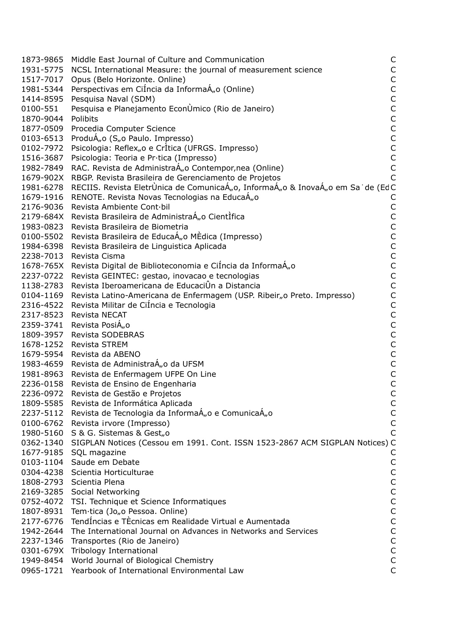|           | 1873-9865 Middle East Journal of Culture and Communication                               | C            |
|-----------|------------------------------------------------------------------------------------------|--------------|
|           | 1931-5775 NCSL International Measure: the journal of measurement science                 | C            |
|           | 1517-7017 Opus (Belo Horizonte. Online)                                                  | C            |
|           | 1981-5344 Perspectivas em CiÍncia da InformaÁ <sub>n</sub> o (Online)                    | C            |
|           | 1414-8595 Pesquisa Naval (SDM)                                                           | $\mathsf{C}$ |
| 0100-551  | Pesquisa e Planejamento EconÙmico (Rio de Janeiro)                                       | $\mathsf C$  |
| 1870-9044 | Polibits                                                                                 | C            |
|           | 1877-0509 Procedia Computer Science                                                      | $\mathsf{C}$ |
|           | 0103-6513 ProduÁ <sub>n</sub> o (S <sub>n</sub> o Paulo. Impresso)                       | $\mathsf{C}$ |
|           | 0102-7972 Psicologia: Reflex <sub>n</sub> o e CrÌtica (UFRGS. Impresso)                  | $\mathsf{C}$ |
|           | 1516-3687 Psicologia: Teoria e Pr·tica (Impresso)                                        | C            |
|           | 1982-7849 RAC. Revista de AdministraÁ <sub>n</sub> o Contempor, nea (Online)             | $\mathsf{C}$ |
|           | 1679-902X RBGP. Revista Brasileira de Gerenciamento de Projetos                          | $\subset$    |
|           | 1981-6278 RECIIS. Revista EletrÙnica de ComunicaÁ"o, InformaÁ"o & InovaÁ"o em Sa de (EdC |              |
|           | 1679-1916 RENOTE. Revista Novas Tecnologias na EducaÁ <sub>n</sub> o                     |              |
|           | 2176-9036 Revista Ambiente Cont·bil                                                      |              |
|           |                                                                                          | C            |
|           | 2179-684X Revista Brasileira de AdministraÁ"o CientIfica                                 | $\mathsf{C}$ |
|           | 1983-0823 Revista Brasileira de Biometria                                                | $\mathsf C$  |
|           | 0100-5502 Revista Brasileira de EducaÁ <sub>n</sub> o MEdica (Impresso)                  | $\mathsf C$  |
|           | 1984-6398 Revista Brasileira de Linguistica Aplicada                                     | $\mathsf{C}$ |
|           | 2238-7013 Revista Cisma                                                                  | $\mathsf{C}$ |
|           | 1678-765X Revista Digital de Biblioteconomia e CiÍncia da InformaÁ <sub>n</sub> o        | $\mathsf C$  |
|           | 2237-0722 Revista GEINTEC: gestao, inovacao e tecnologias                                | $\mathsf{C}$ |
|           | 1138-2783 Revista Iberoamericana de EducaciÛn a Distancia                                | $\mathsf C$  |
|           | 0104-1169 Revista Latino-Americana de Enfermagem (USP. Ribeir"o Preto. Impresso)         | $\mathsf{C}$ |
|           | 2316-4522 Revista Militar de CiÍncia e Tecnologia                                        | C            |
|           | 2317-8523 Revista NECAT                                                                  | C            |
|           | 2359-3741 Revista PosiÁ <sub>n</sub> o                                                   | C            |
|           | 1809-3957 Revista SODEBRAS                                                               | $\mathsf C$  |
|           | 1678-1252 Revista STREM                                                                  | $\mathsf C$  |
|           | 1679-5954 Revista da ABENO                                                               | $\mathsf C$  |
|           | 1983-4659 Revista de AdministraÁ <sub>n</sub> o da UFSM                                  | $\mathsf{C}$ |
|           | 1981-8963 Revista de Enfermagem UFPE On Line                                             | C            |
|           | 2236-0158 Revista de Ensino de Engenharia                                                | C            |
|           | 2236-0972 Revista de Gestão e Projetos                                                   | $\mathsf{C}$ |
|           | 1809-5585 Revista de Informática Aplicada                                                | C            |
|           | 2237-5112 Revista de Tecnologia da InformaÁ <sub>n</sub> o e ComunicaÁ <sub>n</sub> o    | C            |
|           | 0100-6762 Revista irvore (Impresso)                                                      | C            |
|           | 1980-5160 S & G. Sistemas & Gest <sub>no</sub>                                           |              |
|           | 0362-1340 SIGPLAN Notices (Cessou em 1991. Cont. ISSN 1523-2867 ACM SIGPLAN Notices) C   |              |
|           | 1677-9185 SQL magazine                                                                   |              |
|           | 0103-1104 Saude em Debate                                                                | С            |
|           | 0304-4238 Scientia Horticulturae                                                         | C            |
|           | 1808-2793 Scientia Plena                                                                 | C            |
|           | 2169-3285 Social Networking                                                              | C            |
|           | 0752-4072 TSI. Technique et Science Informatiques                                        | $\mathsf{C}$ |
|           | 1807-8931 Tem·tica (Jo <sub>n</sub> o Pessoa. Online)                                    | $\mathsf C$  |
|           | 2177-6776 TendÍncias e TÈcnicas em Realidade Virtual e Aumentada                         | С            |
|           | 1942-2644 The International Journal on Advances in Networks and Services                 | C            |
|           |                                                                                          |              |
|           | 2237-1346 Transportes (Rio de Janeiro)                                                   | C            |
|           | 0301-679X Tribology International                                                        | C            |
|           | 1949-8454 World Journal of Biological Chemistry                                          | $\mathsf{C}$ |
|           | 0965-1721 Yearbook of International Environmental Law                                    | Ċ            |